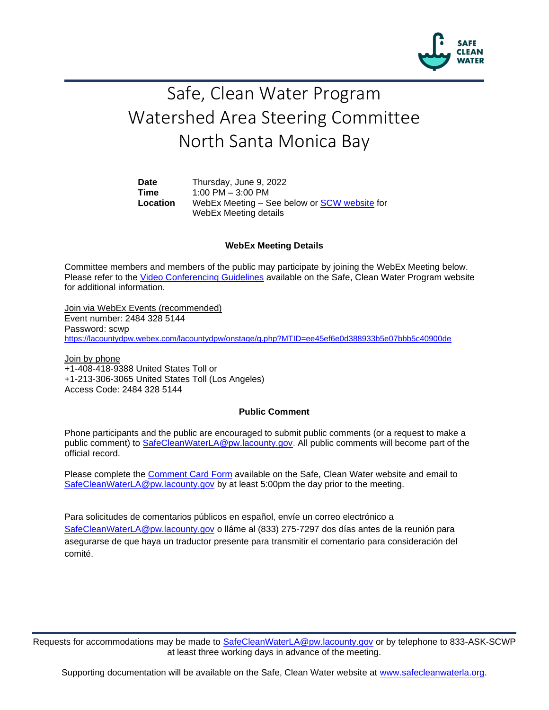

## Safe, Clean Water Program Watershed Area Steering Committee North Santa Monica Bay

**Date** Thursday, June 9, 2022 **Time** 1:00 PM – 3:00 PM **Location** WebEx Meeting – See below or [SCW website](https://safecleanwaterla.org/north-santa-monica-bay-watershed-area/) for WebEx Meeting details

## **WebEx Meeting Details**

Committee members and members of the public may participate by joining the WebEx Meeting below. Please refer to the [Video Conferencing Guidelines](https://safecleanwaterla.org/video-conference-guidelines/) available on the Safe, Clean Water Program website for additional information.

Join via WebEx Events (recommended) Event number: 2484 328 5144 Password: scwp <https://lacountydpw.webex.com/lacountydpw/onstage/g.php?MTID=ee45ef6e0d388933b5e07bbb5c40900de>

Join by phone +1-408-418-9388 United States Toll or +1-213-306-3065 United States Toll (Los Angeles) Access Code: 2484 328 5144

## **Public Comment**

Phone participants and the public are encouraged to submit public comments (or a request to make a public comment) to [SafeCleanWaterLA@pw.lacounty.gov.](mailto:SafeCleanWaterLA@pw.lacounty.gov) All public comments will become part of the official record.

Please complete the Comment [Card Form](https://safecleanwaterla.org/wp-content/uploads/2020/04/Comment-Card-Form.pdf) available on the Safe, Clean Water website and email to [SafeCleanWaterLA@pw.lacounty.gov](mailto:SafeCleanWaterLA@pw.lacounty.gov) by at least 5:00pm the day prior to the meeting.

Para solicitudes de comentarios públicos en español, envíe un correo electrónico a [SafeCleanWaterLA@pw.lacounty.gov](mailto:SafeCleanWaterLA@pw.lacounty.gov) o lláme al (833) 275-7297 dos días antes de la reunión para asegurarse de que haya un traductor presente para transmitir el comentario para consideración del comité.

Requests for accommodations may be made to [SafeCleanWaterLA@pw.lacounty.gov](mailto:SafeCleanWaterLA@pw.lacounty.gov) or by telephone to 833-ASK-SCWP at least three working days in advance of the meeting.

Supporting documentation will be available on the Safe, Clean Water website at [www.safecleanwaterla.org.](http://www.safecleanwaterla.org/)